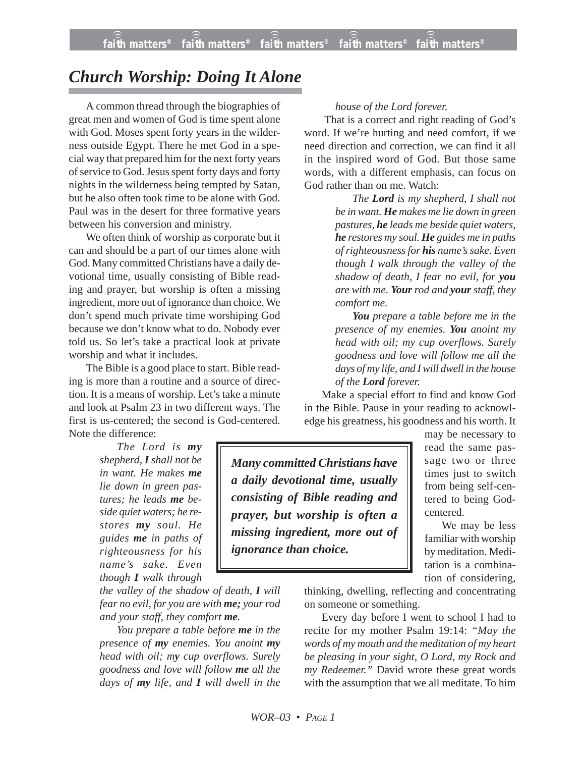## *Church Worship: Doing It Alone*

A common thread through the biographies of great men and women of God is time spent alone with God. Moses spent forty years in the wilderness outside Egypt. There he met God in a special way that prepared him for the next forty years of service to God. Jesus spent forty days and forty nights in the wilderness being tempted by Satan, but he also often took time to be alone with God. Paul was in the desert for three formative years between his conversion and ministry.

We often think of worship as corporate but it can and should be a part of our times alone with God. Many committed Christians have a daily devotional time, usually consisting of Bible reading and prayer, but worship is often a missing ingredient, more out of ignorance than choice. We don't spend much private time worshiping God because we don't know what to do. Nobody ever told us. So let's take a practical look at private worship and what it includes.

The Bible is a good place to start. Bible reading is more than a routine and a source of direction. It is a means of worship. Let's take a minute and look at Psalm 23 in two different ways. The first is us-centered; the second is God-centered. Note the difference:

> *The Lord is my shepherd, I shall not be in want. He makes me lie down in green pastures; he leads me beside quiet waters; he restores my soul. He guides me in paths of righteousness for his name's sake. Even though I walk through*

*the valley of the shadow of death, I will fear no evil, for you are with me; your rod and your staff, they comfort me.*

*You prepare a table before me in the presence of my enemies. You anoint my head with oil; my cup overflows. Surely goodness and love will follow me all the days of my life, and I will dwell in the*

## *house of the Lord forever.*

That is a correct and right reading of God's word. If we're hurting and need comfort, if we need direction and correction, we can find it all in the inspired word of God. But those same words, with a different emphasis, can focus on God rather than on me. Watch:

> *The Lord is my shepherd, I shall not be in want. He makes me lie down in green pastures, he leads me beside quiet waters, he restores my soul. He guides me in paths of righteousness for his name's sake. Even though I walk through the valley of the shadow of death, I fear no evil, for you are with me. Your rod and your staff, they comfort me.*

> *You prepare a table before me in the presence of my enemies. You anoint my head with oil; my cup overflows. Surely goodness and love will follow me all the days of my life, and I will dwell in the house of the Lord forever.*

Make a special effort to find and know God in the Bible. Pause in your reading to acknowledge his greatness, his goodness and his worth. It

*Many committed Christians have a daily devotional time, usually consisting of Bible reading and prayer, but worship is often a missing ingredient, more out of ignorance than choice.*

may be necessary to read the same passage two or three times just to switch from being self-centered to being Godcentered.

We may be less familiar with worship by meditation. Meditation is a combination of considering,

thinking, dwelling, reflecting and concentrating on someone or something.

Every day before I went to school I had to recite for my mother Psalm 19:14: *"May the words of my mouth and the meditation of my heart be pleasing in your sight, O Lord, my Rock and my Redeemer."* David wrote these great words with the assumption that we all meditate. To him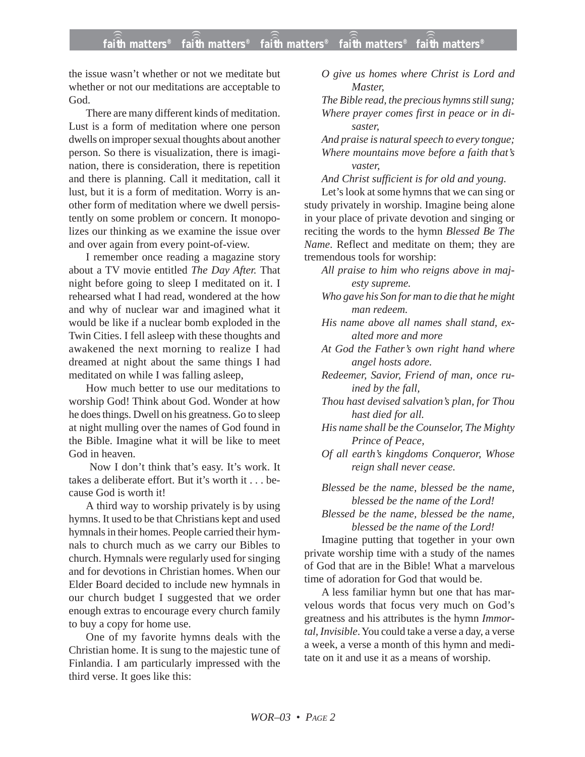the issue wasn't whether or not we meditate but whether or not our meditations are acceptable to God.

There are many different kinds of meditation. Lust is a form of meditation where one person dwells on improper sexual thoughts about another person. So there is visualization, there is imagination, there is consideration, there is repetition and there is planning. Call it meditation, call it lust, but it is a form of meditation. Worry is another form of meditation where we dwell persistently on some problem or concern. It monopolizes our thinking as we examine the issue over and over again from every point-of-view.

I remember once reading a magazine story about a TV movie entitled *The Day After.* That night before going to sleep I meditated on it. I rehearsed what I had read, wondered at the how and why of nuclear war and imagined what it would be like if a nuclear bomb exploded in the Twin Cities. I fell asleep with these thoughts and awakened the next morning to realize I had dreamed at night about the same things I had meditated on while I was falling asleep,

How much better to use our meditations to worship God! Think about God. Wonder at how he does things. Dwell on his greatness. Go to sleep at night mulling over the names of God found in the Bible. Imagine what it will be like to meet God in heaven.

Now I don't think that's easy. It's work. It takes a deliberate effort. But it's worth it . . . because God is worth it!

A third way to worship privately is by using hymns. It used to be that Christians kept and used hymnals in their homes. People carried their hymnals to church much as we carry our Bibles to church. Hymnals were regularly used for singing and for devotions in Christian homes. When our Elder Board decided to include new hymnals in our church budget I suggested that we order enough extras to encourage every church family to buy a copy for home use.

One of my favorite hymns deals with the Christian home. It is sung to the majestic tune of Finlandia. I am particularly impressed with the third verse. It goes like this:

*O give us homes where Christ is Lord and Master,*

*The Bible read, the precious hymns still sung; Where prayer comes first in peace or in disaster,*

*And praise is natural speech to every tongue; Where mountains move before a faith that's vaster,*

*And Christ sufficient is for old and young.*

Let's look at some hymns that we can sing or study privately in worship. Imagine being alone in your place of private devotion and singing or reciting the words to the hymn *Blessed Be The Name*. Reflect and meditate on them; they are tremendous tools for worship:

- *All praise to him who reigns above in majesty supreme.*
- *Who gave his Son for man to die that he might man redeem.*
- *His name above all names shall stand, exalted more and more*

*At God the Father's own right hand where angel hosts adore.*

*Redeemer, Savior, Friend of man, once ruined by the fall,*

*Thou hast devised salvation's plan, for Thou hast died for all.*

*His name shall be the Counselor, The Mighty Prince of Peace,*

*Of all earth's kingdoms Conqueror, Whose reign shall never cease.*

*Blessed be the name, blessed be the name, blessed be the name of the Lord!*

*Blessed be the name, blessed be the name, blessed be the name of the Lord!*

Imagine putting that together in your own private worship time with a study of the names of God that are in the Bible! What a marvelous time of adoration for God that would be.

A less familiar hymn but one that has marvelous words that focus very much on God's greatness and his attributes is the hymn *Immortal, Invisible*. You could take a verse a day, a verse a week, a verse a month of this hymn and meditate on it and use it as a means of worship.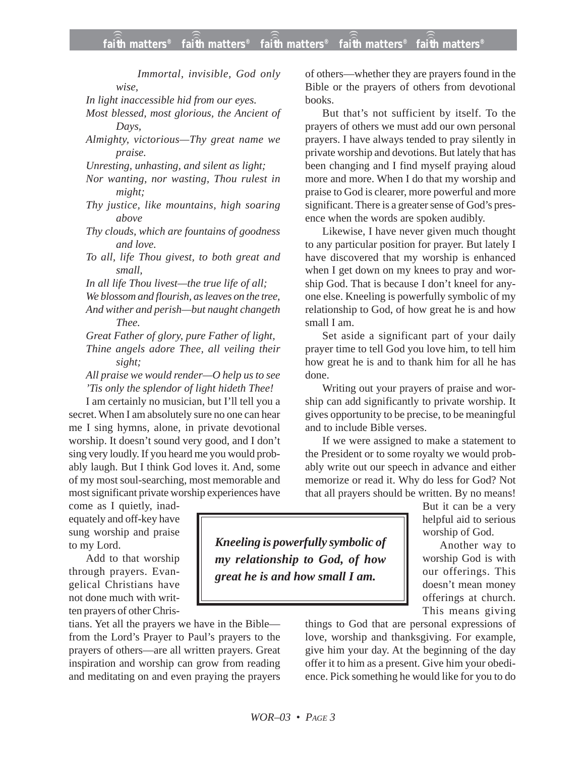*Immortal, invisible, God only wise,*

*In light inaccessible hid from our eyes.*

*Most blessed, most glorious, the Ancient of Days,*

*Almighty, victorious—Thy great name we praise.*

*Unresting, unhasting, and silent as light;*

*Nor wanting, nor wasting, Thou rulest in might;*

*Thy justice, like mountains, high soaring above*

*Thy clouds, which are fountains of goodness and love.*

*To all, life Thou givest, to both great and small,*

*In all life Thou livest—the true life of all;*

*We blossom and flourish, as leaves on the tree,*

*And wither and perish—but naught changeth Thee.*

*Great Father of glory, pure Father of light, Thine angels adore Thee, all veiling their sight;*

*All praise we would render—O help us to see 'Tis only the splendor of light hideth Thee!*

I am certainly no musician, but I'll tell you a secret. When I am absolutely sure no one can hear me I sing hymns, alone, in private devotional worship. It doesn't sound very good, and I don't sing very loudly. If you heard me you would probably laugh. But I think God loves it. And, some of my most soul-searching, most memorable and most significant private worship experiences have

come as I quietly, inadequately and off-key have sung worship and praise to my Lord.

Add to that worship through prayers. Evangelical Christians have not done much with written prayers of other Chris-

tians. Yet all the prayers we have in the Bible from the Lord's Prayer to Paul's prayers to the prayers of others—are all written prayers. Great inspiration and worship can grow from reading and meditating on and even praying the prayers of others—whether they are prayers found in the Bible or the prayers of others from devotional books.

But that's not sufficient by itself. To the prayers of others we must add our own personal prayers. I have always tended to pray silently in private worship and devotions. But lately that has been changing and I find myself praying aloud more and more. When I do that my worship and praise to God is clearer, more powerful and more significant. There is a greater sense of God's presence when the words are spoken audibly.

Likewise, I have never given much thought to any particular position for prayer. But lately I have discovered that my worship is enhanced when I get down on my knees to pray and worship God. That is because I don't kneel for anyone else. Kneeling is powerfully symbolic of my relationship to God, of how great he is and how small I am.

Set aside a significant part of your daily prayer time to tell God you love him, to tell him how great he is and to thank him for all he has done.

Writing out your prayers of praise and worship can add significantly to private worship. It gives opportunity to be precise, to be meaningful and to include Bible verses.

If we were assigned to make a statement to the President or to some royalty we would probably write out our speech in advance and either memorize or read it. Why do less for God? Not that all prayers should be written. By no means!

But it can be a very helpful aid to serious worship of God.

Another way to worship God is with our offerings. This doesn't mean money offerings at church. This means giving

things to God that are personal expressions of love, worship and thanksgiving. For example, give him your day. At the beginning of the day offer it to him as a present. Give him your obedience. Pick something he would like for you to do

*Kneeling is powerfully symbolic of my relationship to God, of how great he is and how small I am.*